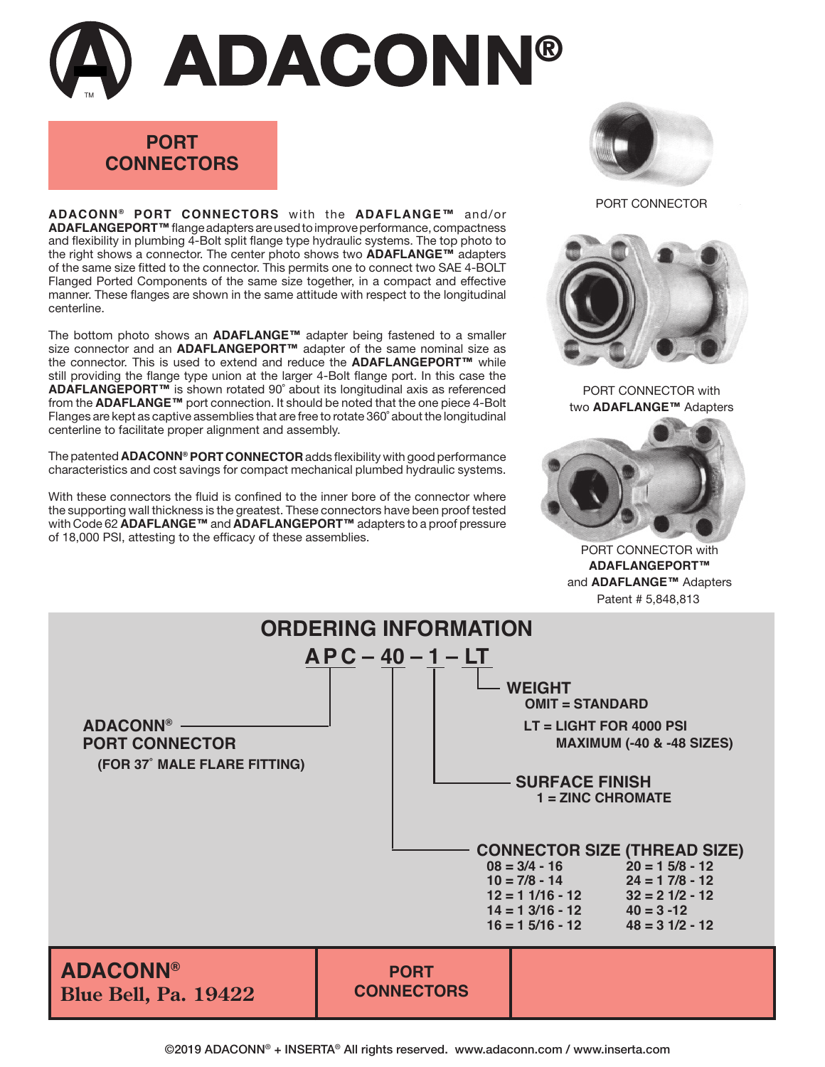## TM **ADACONN®**

## **PORT CONNECTORS**

**ADACONN ® PORT CONNECTORS** with the **ADAFLANGE™** and/or **ADAFLANGEPORT™** flange adapters are used to improve performance, compactness and flexibility in plumbing 4-Bolt split flange type hydraulic systems. The top photo to the right shows a connector. The center photo shows two **ADAFLANGE™** adapters of the same size fitted to the connector. This permits one to connect two SAE 4-BOLT Flanged Ported Components of the same size together, in a compact and effective manner. These flanges are shown in the same attitude with respect to the longitudinal centerline.

The bottom photo shows an **ADAFLANGE™** adapter being fastened to a smaller size connector and an **ADAFLANGEPORT™** adapter of the same nominal size as the connector. This is used to extend and reduce the **ADAFLANGEPORT™** while still providing the flange type union at the larger 4-Bolt flange port. In this case the **ADAFLANGEPORT™** is shown rotated 90˚ about its longitudinal axis as referenced from the **ADAFLANGE™** port connection. It should be noted that the one piece 4-Bolt Flanges are kept as captive assemblies that are free to rotate 360˚ about the longitudinal centerline to facilitate proper alignment and assembly.

The patented **ADACONN® PORT CONNECTOR** adds flexibility with good performance characteristics and cost savings for compact mechanical plumbed hydraulic systems.

With these connectors the fluid is confined to the inner bore of the connector where the supporting wall thickness is the greatest. These connectors have been proof tested with Code 62 **ADAFLANGE™** and **ADAFLANGEPORT™** adapters to a proof pressure of 18,000 PSI, attesting to the efficacy of these assemblies.



PORT CONNECTOR



PORT CONNECTOR with two **ADAFLANGE™** Adapters



Patent # 5,848,813 PORT CONNECTOR with **ADAFLANGEPORT™** and **ADAFLANGE™** Adapters